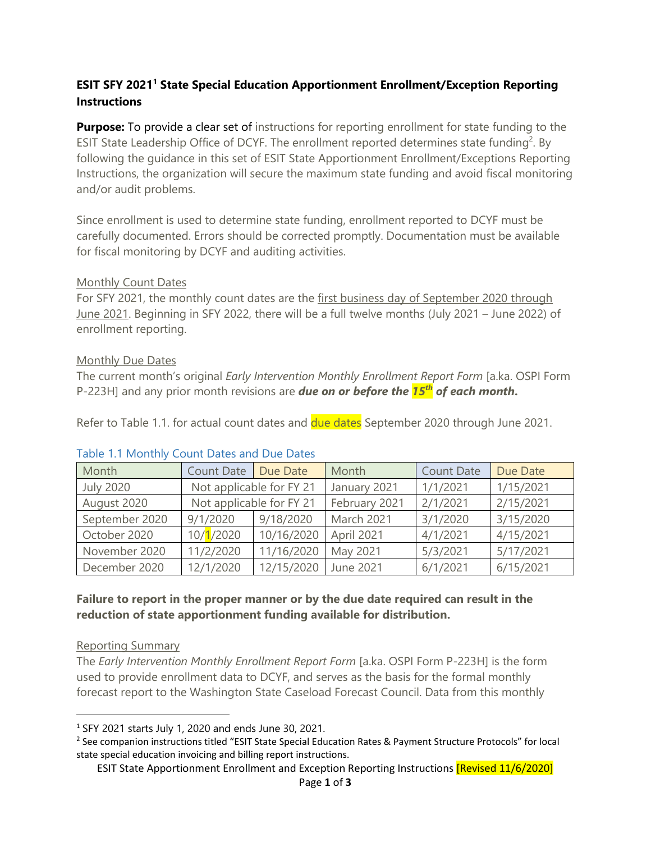## **ESIT SFY 2021<sup>1</sup> State Special Education Apportionment Enrollment/Exception Reporting Instructions**

**Purpose:** To provide a clear set of instructions for reporting enrollment for state funding to the ESIT State Leadership Office of DCYF. The enrollment reported determines state funding<sup>2</sup>. By following the guidance in this set of ESIT State Apportionment Enrollment/Exceptions Reporting Instructions, the organization will secure the maximum state funding and avoid fiscal monitoring and/or audit problems.

Since enrollment is used to determine state funding, enrollment reported to DCYF must be carefully documented. Errors should be corrected promptly. Documentation must be available for fiscal monitoring by DCYF and auditing activities.

### Monthly Count Dates

For SFY 2021, the monthly count dates are the first business day of September 2020 through June 2021. Beginning in SFY 2022, there will be a full twelve months (July 2021 – June 2022) of enrollment reporting.

### Monthly Due Dates

The current month's original *Early Intervention Monthly Enrollment Report Form* [a.ka. OSPI Form P-223H] and any prior month revisions are *due on or before the 15th of each month***.** 

Refer to Table 1.1. for actual count dates and due dates September 2020 through June 2021.

| Month            | Count Date               | Due Date   | Month         | <b>Count Date</b> | Due Date  |
|------------------|--------------------------|------------|---------------|-------------------|-----------|
| <b>July 2020</b> | Not applicable for FY 21 |            | January 2021  | 1/1/2021          | 1/15/2021 |
| August 2020      | Not applicable for FY 21 |            | February 2021 | 2/1/2021          | 2/15/2021 |
| September 2020   | 9/1/2020                 | 9/18/2020  | March 2021    | 3/1/2020          | 3/15/2020 |
| October 2020     | 10/1/2020                | 10/16/2020 | April 2021    | 4/1/2021          | 4/15/2021 |
| November 2020    | 11/2/2020                | 11/16/2020 | May 2021      | 5/3/2021          | 5/17/2021 |
| December 2020    | 12/1/2020                | 12/15/2020 | June 2021     | 6/1/2021          | 6/15/2021 |

### Table 1.1 Monthly Count Dates and Due Dates

### **Failure to report in the proper manner or by the due date required can result in the reduction of state apportionment funding available for distribution.**

### Reporting Summary

The *Early Intervention Monthly Enrollment Report Form* [a.ka. OSPI Form P-223H] is the form used to provide enrollment data to DCYF, and serves as the basis for the formal monthly forecast report to the Washington State Caseload Forecast Council. Data from this monthly

 <sup>1</sup> SFY 2021 starts July 1, 2020 and ends June 30, 2021.

<sup>2</sup> See companion instructions titled "ESIT State Special Education Rates & Payment Structure Protocols" for local state special education invoicing and billing report instructions.

ESIT State Apportionment Enrollment and Exception Reporting Instructions [Revised 11/6/2020]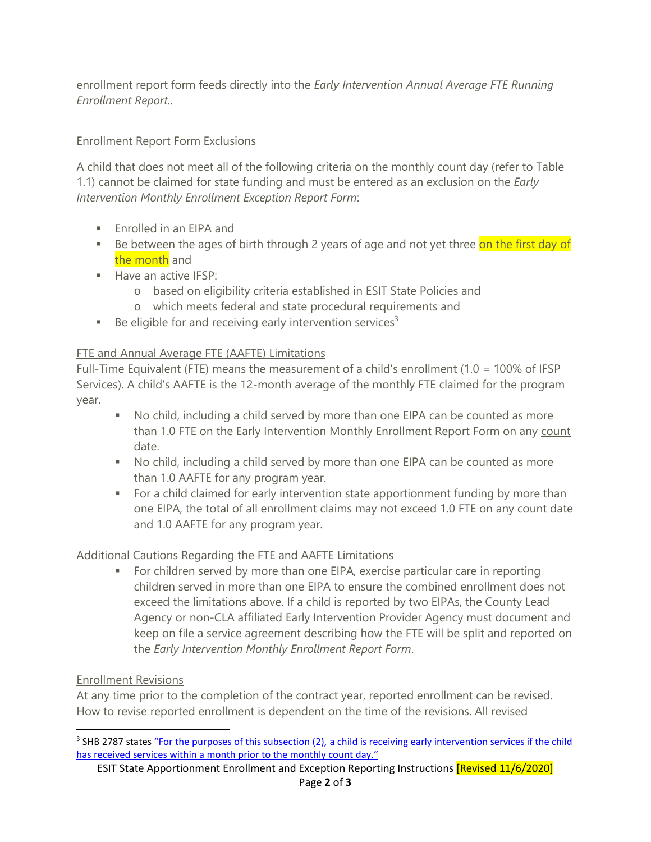enrollment report form feeds directly into the *Early Intervention Annual Average FTE Running Enrollment Report.*.

# Enrollment Report Form Exclusions

A child that does not meet all of the following criteria on the monthly count day (refer to Table 1.1) cannot be claimed for state funding and must be entered as an exclusion on the *Early Intervention Monthly Enrollment Exception Report Form*:

- **Enrolled in an EIPA and**
- Be between the ages of birth through 2 years of age and not yet three on the first day of the month and
- Have an active IFSP:
	- o based on eligibility criteria established in ESIT State Policies and
	- o which meets federal and state procedural requirements and
- Be eligible for and receiving early intervention services<sup>3</sup>

# FTE and Annual Average FTE (AAFTE) Limitations

Full-Time Equivalent (FTE) means the measurement of a child's enrollment (1.0 = 100% of IFSP Services). A child's AAFTE is the 12-month average of the monthly FTE claimed for the program year.

- No child, including a child served by more than one EIPA can be counted as more than 1.0 FTE on the Early Intervention Monthly Enrollment Report Form on any count date.
- No child, including a child served by more than one EIPA can be counted as more than 1.0 AAFTE for any program year.
- For a child claimed for early intervention state apportionment funding by more than one EIPA, the total of all enrollment claims may not exceed 1.0 FTE on any count date and 1.0 AAFTE for any program year.

Additional Cautions Regarding the FTE and AAFTE Limitations

 For children served by more than one EIPA, exercise particular care in reporting children served in more than one EIPA to ensure the combined enrollment does not exceed the limitations above. If a child is reported by two EIPAs, the County Lead Agency or non-CLA affiliated Early Intervention Provider Agency must document and keep on file a service agreement describing how the FTE will be split and reported on the *Early Intervention Monthly Enrollment Report Form*.

# Enrollment Revisions

At any time prior to the completion of the contract year, reported enrollment can be revised. How to revise reported enrollment is dependent on the time of the revisions. All revised

<sup>&</sup>lt;sup>3</sup> SHB 2787 states "For the purposes of this subsection (2), a child is receiving early intervention services if the child [has received services within a month prior to the monthly count day."](http://lawfilesext.leg.wa.gov/biennium/2019-20/Pdf/Bills/House%20Passed%20Legislature/2787-S.PL.pdf?q=20200615170703)

ESIT State Apportionment Enrollment and Exception Reporting Instructions [Revised 11/6/2020] Page **2** of **3**